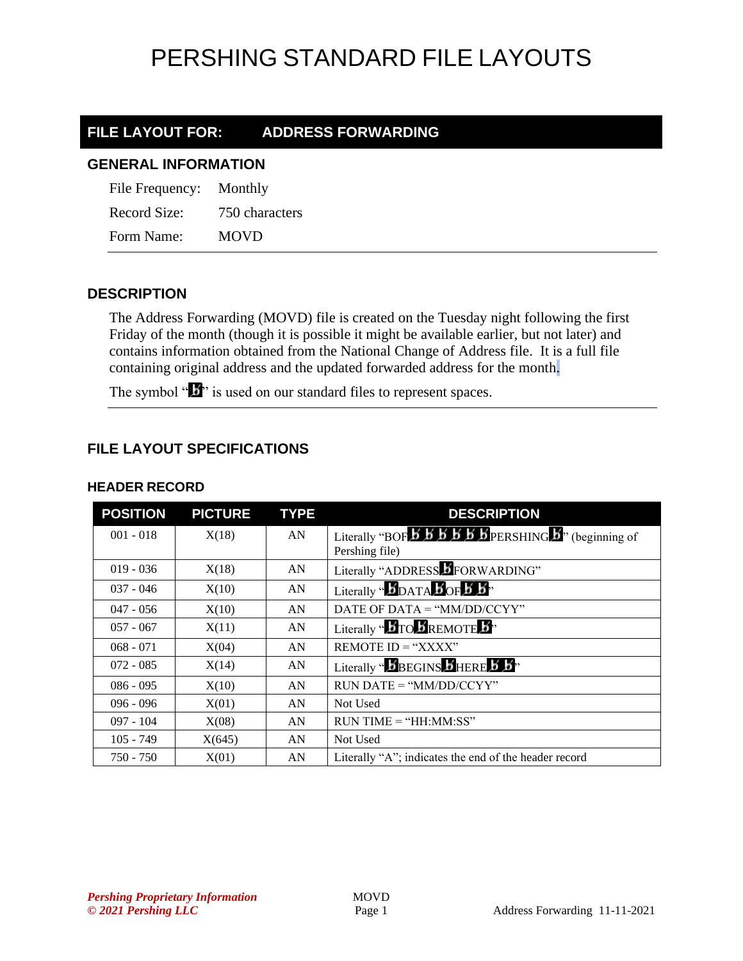## PERSHING STANDARD FILE LAYOUTS

### **FILE LAYOUT FOR: ADDRESS FORWARDING**

#### **GENERAL INFORMATION**

| File Frequency: | Monthly        |
|-----------------|----------------|
| Record Size:    | 750 characters |
| Form Name:      | <b>MOVD</b>    |

### **DESCRIPTION**

The Address Forwarding (MOVD) file is created on the Tuesday night following the first Friday of the month (though it is possible it might be available earlier, but not later) and contains information obtained from the National Change of Address file. It is a full file containing original address and the updated forwarded address for the month.

The symbol " $\mathbf{I}$ " is used on our standard files to represent spaces.

### **FILE LAYOUT SPECIFICATIONS**

| <b>POSITION</b> | <b>PICTURE</b> | <b>TYPE</b> | <b>DESCRIPTION</b>                                                                                                                                              |
|-----------------|----------------|-------------|-----------------------------------------------------------------------------------------------------------------------------------------------------------------|
| $001 - 018$     | X(18)          | AN          | Literally "BOF $\overline{5}$ $\overline{5}$ $\overline{5}$ $\overline{5}$ $\overline{5}$ $\overline{5}$ $\overline{5}$ PERSHING $\overline{5}$ " (beginning of |
|                 |                |             | Pershing file)                                                                                                                                                  |
| $019 - 036$     | X(18)          | AN          | Literally "ADDRESS DFORWARDING"                                                                                                                                 |
| $037 - 046$     | X(10)          | AN          | Literally " $\mathbf{5}_{\text{DATA}}$ $\mathbf{5}_{\text{OF}}$ $\mathbf{5}_{\text{B}}$ "                                                                       |
| $047 - 056$     | X(10)          | AN          | DATE OF DATA = " $MM/DD/CCYY"$                                                                                                                                  |
| $057 - 067$     | X(11)          | AN          | Literally " $\bm{B}$ TO $\bm{B}$ REMOTE $\bm{B}$ "                                                                                                              |
| $068 - 071$     | X(04)          | AN          | REMOTE $ID = "XXX"$                                                                                                                                             |
| $072 - 085$     | X(14)          | AN          | Literally " $\boldsymbol{b}$ BEGINS $\boldsymbol{b}$ HERE $\boldsymbol{b}$ $\boldsymbol{b}$ "                                                                   |
| $086 - 095$     | X(10)          | AN          | $RUN\ DATE = "MM/DD/CCYY"$                                                                                                                                      |
| $096 - 096$     | X(01)          | AN          | Not Used                                                                                                                                                        |
| $097 - 104$     | X(08)          | AN          | $RUN TIME = "HH:MM:SS"$                                                                                                                                         |
| $105 - 749$     | X(645)         | AN          | Not Used                                                                                                                                                        |
| $750 - 750$     | X(01)          | AN          | Literally "A"; indicates the end of the header record                                                                                                           |

#### **HEADER RECORD**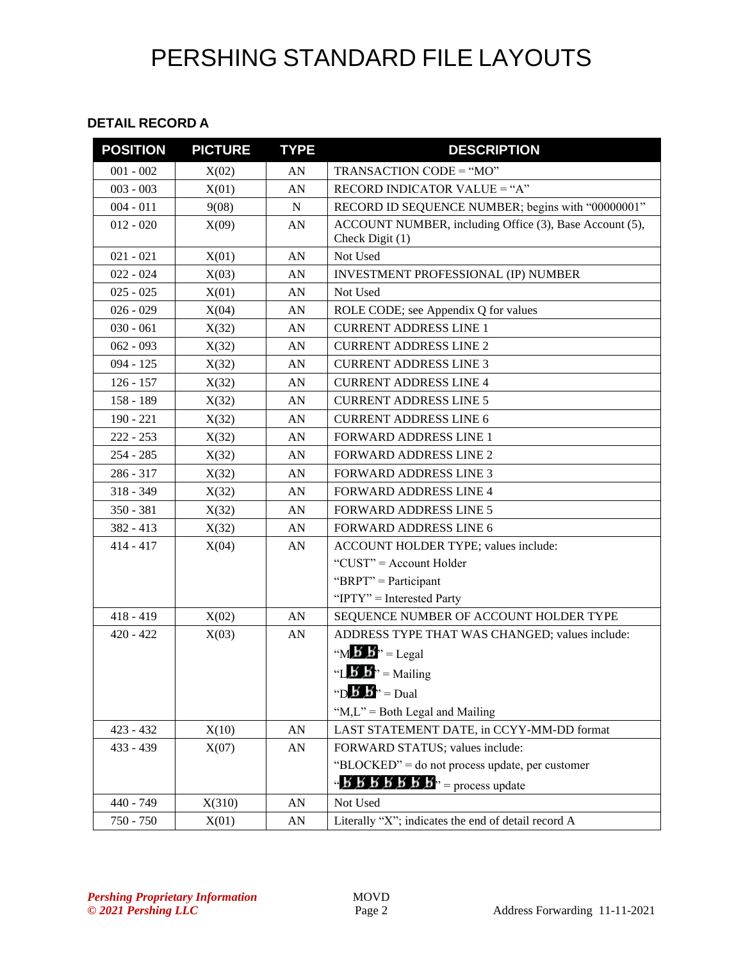# PERSHING STANDARD FILE LAYOUTS

#### **DETAIL RECORD A**

| <b>POSITION</b> | <b>PICTURE</b> | <b>TYPE</b> | <b>DESCRIPTION</b>                                                         |
|-----------------|----------------|-------------|----------------------------------------------------------------------------|
| $001 - 002$     | X(02)          | AN          | TRANSACTION CODE = "MO"                                                    |
| $003 - 003$     | X(01)          | AN          | RECORD INDICATOR VALUE = "A"                                               |
| $004 - 011$     | 9(08)          | ${\bf N}$   | RECORD ID SEQUENCE NUMBER; begins with "00000001"                          |
| $012 - 020$     | X(09)          | AN          | ACCOUNT NUMBER, including Office (3), Base Account (5),<br>Check Digit (1) |
| $021 - 021$     | X(01)          | AN          | Not Used                                                                   |
| $022 - 024$     | X(03)          | AN          | INVESTMENT PROFESSIONAL (IP) NUMBER                                        |
| $025 - 025$     | X(01)          | ${\rm AN}$  | Not Used                                                                   |
| $026 - 029$     | X(04)          | AN          | ROLE CODE; see Appendix Q for values                                       |
| $030 - 061$     | X(32)          | AN          | <b>CURRENT ADDRESS LINE 1</b>                                              |
| $062 - 093$     | X(32)          | AN          | <b>CURRENT ADDRESS LINE 2</b>                                              |
| $094 - 125$     | X(32)          | AN          | <b>CURRENT ADDRESS LINE 3</b>                                              |
| $126 - 157$     | X(32)          | AN          | <b>CURRENT ADDRESS LINE 4</b>                                              |
| 158 - 189       | X(32)          | AN          | <b>CURRENT ADDRESS LINE 5</b>                                              |
| $190 - 221$     | X(32)          | AN          | <b>CURRENT ADDRESS LINE 6</b>                                              |
| $222 - 253$     | X(32)          | AN          | <b>FORWARD ADDRESS LINE 1</b>                                              |
| $254 - 285$     | X(32)          | AN          | <b>FORWARD ADDRESS LINE 2</b>                                              |
| 286 - 317       | X(32)          | AN          | <b>FORWARD ADDRESS LINE 3</b>                                              |
| $318 - 349$     | X(32)          | AN          | <b>FORWARD ADDRESS LINE 4</b>                                              |
| $350 - 381$     | X(32)          | AN          | <b>FORWARD ADDRESS LINE 5</b>                                              |
| 382 - 413       | X(32)          | AN          | <b>FORWARD ADDRESS LINE 6</b>                                              |
| $414 - 417$     | X(04)          | ${\rm AN}$  | ACCOUNT HOLDER TYPE; values include:                                       |
|                 |                |             | "CUST" = Account Holder                                                    |
|                 |                |             | "BRPT" = Participant                                                       |
|                 |                |             | "IPTY" = Interested Party                                                  |
| $418 - 419$     | X(02)          | AN          | SEQUENCE NUMBER OF ACCOUNT HOLDER TYPE                                     |
| $420 - 422$     | X(03)          | AN          | ADDRESS TYPE THAT WAS CHANGED; values include:                             |
|                 |                |             | " $M \mathbf{b}$ " = Legal                                                 |
|                 |                |             | "L <b>b</b> $\mathbf{b}$ " = Mailing                                       |
|                 |                |             | "D <b>b</b> " = Dual                                                       |
|                 |                |             | " $M,L$ " = Both Legal and Mailing                                         |
| $423 - 432$     | X(10)          | AN          | LAST STATEMENT DATE, in CCYY-MM-DD format                                  |
| 433 - 439       | X(07)          | ${\rm AN}$  | FORWARD STATUS; values include:                                            |
|                 |                |             | "BLOCKED" = do not process update, per customer                            |
|                 |                |             | " $B$ $B$ $B$ $B$ $B$ $B$ $B$ " = process update                           |
| 440 - 749       | X(310)         | AN          | Not Used                                                                   |
| 750 - 750       | X(01)          | AN          | Literally "X"; indicates the end of detail record A                        |